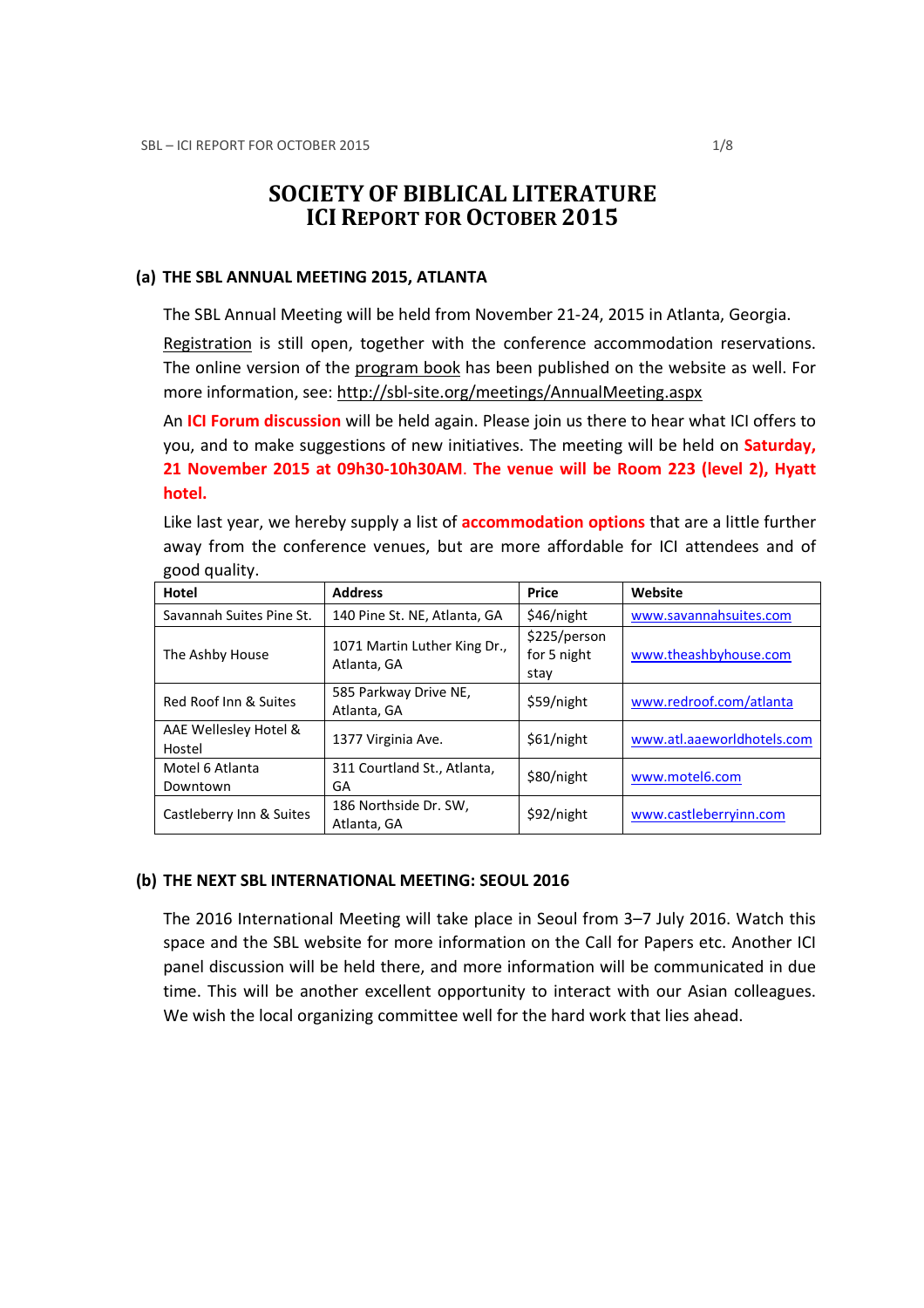# SOCIETY OF BIBLICAL LITERATURE ICI REPORT FOR OCTOBER 2015

#### (a) THE SBL ANNUAL MEETING 2015, ATLANTA

The SBL Annual Meeting will be held from November 21-24, 2015 in Atlanta, Georgia.

Registration is still open, together with the conference accommodation reservations. The online version of the program book has been published on the website as well. For more information, see: http://sbl-site.org/meetings/AnnualMeeting.aspx

An ICI Forum discussion will be held again. Please join us there to hear what ICI offers to you, and to make suggestions of new initiatives. The meeting will be held on **Saturday**, 21 November 2015 at 09h30-10h30AM. The venue will be Room 223 (level 2), Hyatt hotel.

Like last year, we hereby supply a list of **accommodation options** that are a little further away from the conference venues, but are more affordable for ICI attendees and of good quality.

| Hotel                           | <b>Address</b>                              | Price                               | Website                    |
|---------------------------------|---------------------------------------------|-------------------------------------|----------------------------|
| Savannah Suites Pine St.        | 140 Pine St. NE, Atlanta, GA                | \$46/night                          | www.savannahsuites.com     |
| The Ashby House                 | 1071 Martin Luther King Dr.,<br>Atlanta, GA | \$225/person<br>for 5 night<br>stay | www.theashbyhouse.com      |
| Red Roof Inn & Suites           | 585 Parkway Drive NE,<br>Atlanta, GA        | \$59/night                          | www.redroof.com/atlanta    |
| AAE Wellesley Hotel &<br>Hostel | 1377 Virginia Ave.                          | \$61/night                          | www.atl.aaeworldhotels.com |
| Motel 6 Atlanta<br>Downtown     | 311 Courtland St., Atlanta,<br>GA           | \$80/night                          | www.motel6.com             |
| Castleberry Inn & Suites        | 186 Northside Dr. SW,<br>Atlanta, GA        | \$92/night                          | www.castleberryinn.com     |

#### (b) THE NEXT SBL INTERNATIONAL MEETING: SEOUL 2016

The 2016 International Meeting will take place in Seoul from 3–7 July 2016. Watch this space and the SBL website for more information on the Call for Papers etc. Another ICI panel discussion will be held there, and more information will be communicated in due time. This will be another excellent opportunity to interact with our Asian colleagues. We wish the local organizing committee well for the hard work that lies ahead.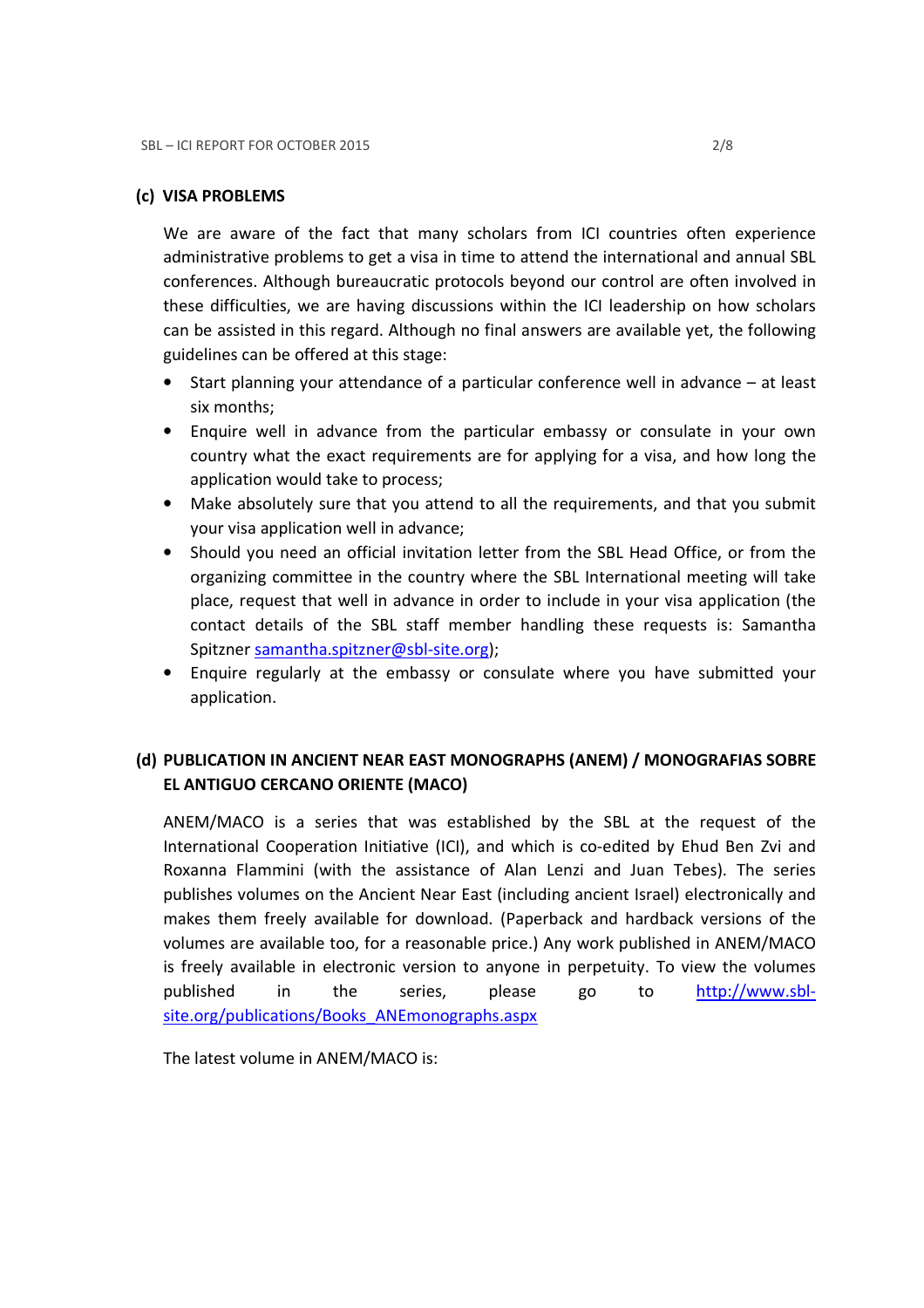#### (c) VISA PROBLEMS

We are aware of the fact that many scholars from ICI countries often experience administrative problems to get a visa in time to attend the international and annual SBL conferences. Although bureaucratic protocols beyond our control are often involved in these difficulties, we are having discussions within the ICI leadership on how scholars can be assisted in this regard. Although no final answers are available yet, the following guidelines can be offered at this stage:

- Start planning your attendance of a particular conference well in advance at least six months;
- Enquire well in advance from the particular embassy or consulate in your own country what the exact requirements are for applying for a visa, and how long the application would take to process;
- Make absolutely sure that you attend to all the requirements, and that you submit your visa application well in advance;
- Should you need an official invitation letter from the SBL Head Office, or from the organizing committee in the country where the SBL International meeting will take place, request that well in advance in order to include in your visa application (the contact details of the SBL staff member handling these requests is: Samantha Spitzner samantha.spitzner@sbl-site.org);
- Enquire regularly at the embassy or consulate where you have submitted your application.

## (d) PUBLICATION IN ANCIENT NEAR EAST MONOGRAPHS (ANEM) / MONOGRAFIAS SOBRE EL ANTIGUO CERCANO ORIENTE (MACO)

ANEM/MACO is a series that was established by the SBL at the request of the International Cooperation Initiative (ICI), and which is co-edited by Ehud Ben Zvi and Roxanna Flammini (with the assistance of Alan Lenzi and Juan Tebes). The series publishes volumes on the Ancient Near East (including ancient Israel) electronically and makes them freely available for download. (Paperback and hardback versions of the volumes are available too, for a reasonable price.) Any work published in ANEM/MACO is freely available in electronic version to anyone in perpetuity. To view the volumes published in the series, please go to http://www.sblsite.org/publications/Books\_ANEmonographs.aspx

The latest volume in ANEM/MACO is: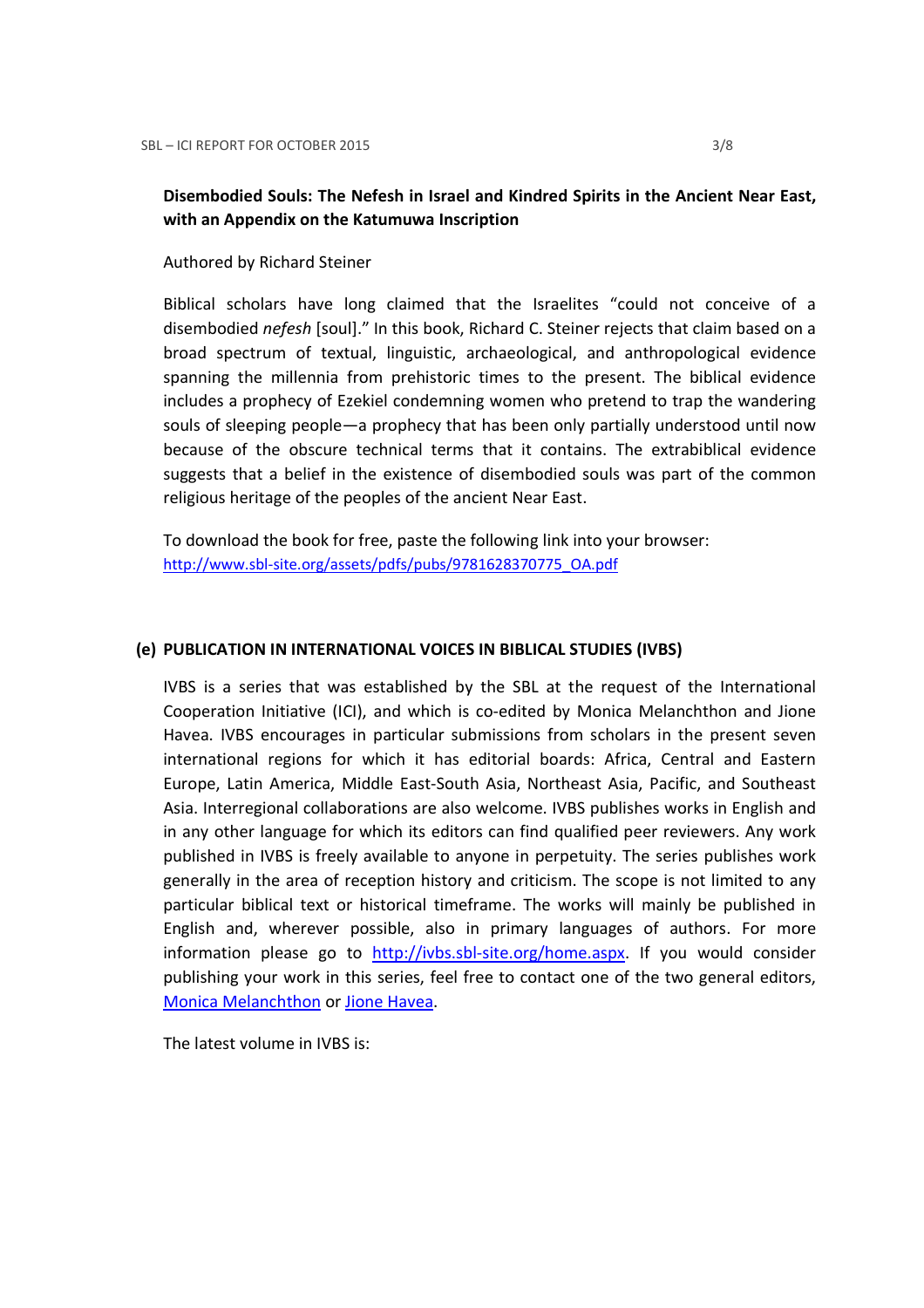## Disembodied Souls: The Nefesh in Israel and Kindred Spirits in the Ancient Near East, with an Appendix on the Katumuwa Inscription

Authored by Richard Steiner

Biblical scholars have long claimed that the Israelites "could not conceive of a disembodied nefesh [soul]." In this book, Richard C. Steiner rejects that claim based on a broad spectrum of textual, linguistic, archaeological, and anthropological evidence spanning the millennia from prehistoric times to the present. The biblical evidence includes a prophecy of Ezekiel condemning women who pretend to trap the wandering souls of sleeping people—a prophecy that has been only partially understood until now because of the obscure technical terms that it contains. The extrabiblical evidence suggests that a belief in the existence of disembodied souls was part of the common religious heritage of the peoples of the ancient Near East.

To download the book for free, paste the following link into your browser: http://www.sbl-site.org/assets/pdfs/pubs/9781628370775\_OA.pdf

#### (e) PUBLICATION IN INTERNATIONAL VOICES IN BIBLICAL STUDIES (IVBS)

IVBS is a series that was established by the SBL at the request of the International Cooperation Initiative (ICI), and which is co-edited by Monica Melanchthon and Jione Havea. IVBS encourages in particular submissions from scholars in the present seven international regions for which it has editorial boards: Africa, Central and Eastern Europe, Latin America, Middle East-South Asia, Northeast Asia, Pacific, and Southeast Asia. Interregional collaborations are also welcome. IVBS publishes works in English and in any other language for which its editors can find qualified peer reviewers. Any work published in IVBS is freely available to anyone in perpetuity. The series publishes work generally in the area of reception history and criticism. The scope is not limited to any particular biblical text or historical timeframe. The works will mainly be published in English and, wherever possible, also in primary languages of authors. For more information please go to http://ivbs.sbl-site.org/home.aspx. If you would consider publishing your work in this series, feel free to contact one of the two general editors, Monica Melanchthon or Jione Havea.

The latest volume in IVBS is: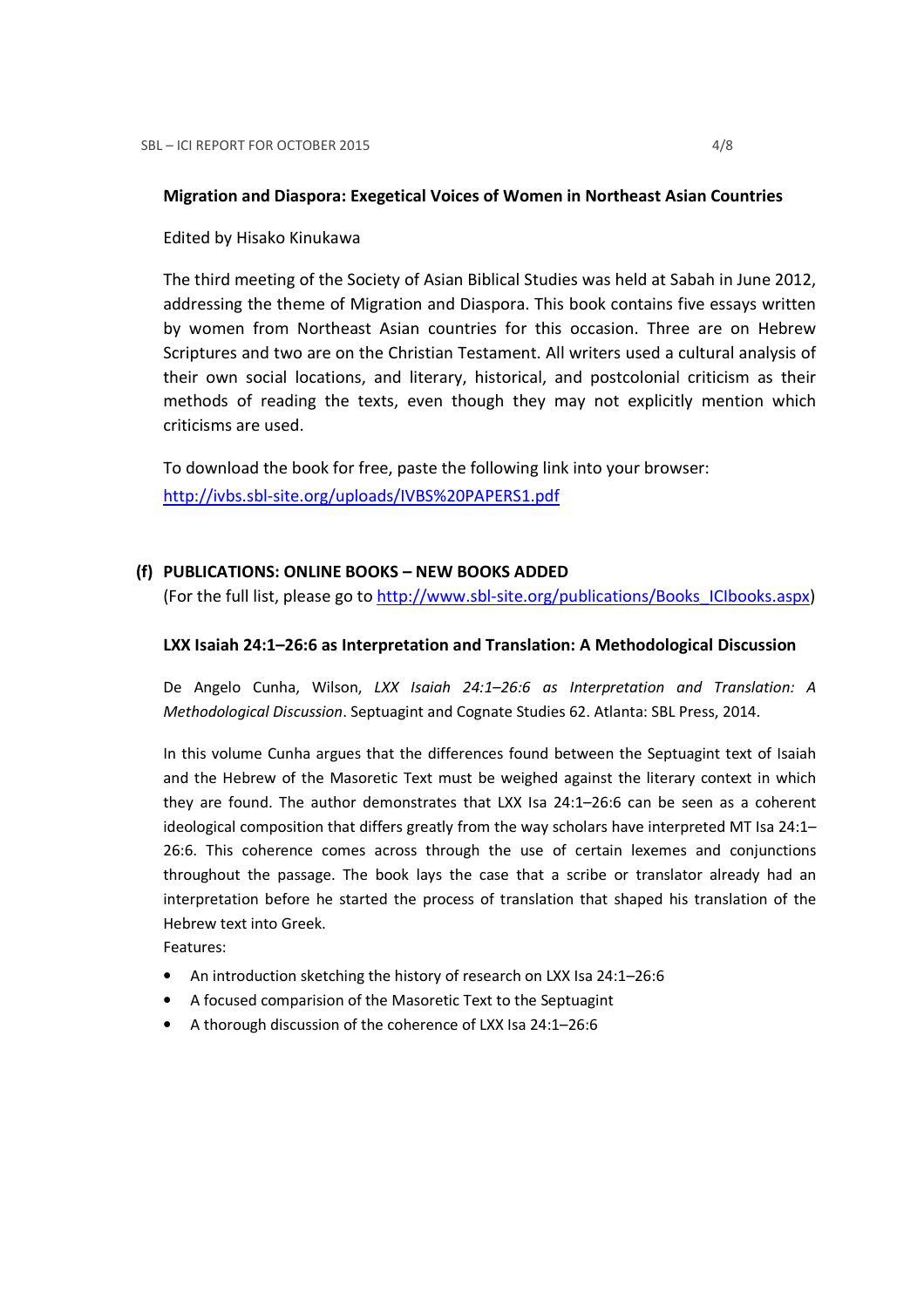#### Migration and Diaspora: Exegetical Voices of Women in Northeast Asian Countries

Edited by Hisako Kinukawa

The third meeting of the Society of Asian Biblical Studies was held at Sabah in June 2012, addressing the theme of Migration and Diaspora. This book contains five essays written by women from Northeast Asian countries for this occasion. Three are on Hebrew Scriptures and two are on the Christian Testament. All writers used a cultural analysis of their own social locations, and literary, historical, and postcolonial criticism as their methods of reading the texts, even though they may not explicitly mention which criticisms are used.

To download the book for free, paste the following link into your browser: http://ivbs.sbl-site.org/uploads/IVBS%20PAPERS1.pdf

#### (f) PUBLICATIONS: ONLINE BOOKS – NEW BOOKS ADDED

(For the full list, please go to http://www.sbl-site.org/publications/Books\_ICIbooks.aspx)

#### LXX Isaiah 24:1–26:6 as Interpretation and Translation: A Methodological Discussion

De Angelo Cunha, Wilson, LXX Isaiah 24:1–26:6 as Interpretation and Translation: A Methodological Discussion. Septuagint and Cognate Studies 62. Atlanta: SBL Press, 2014.

In this volume Cunha argues that the differences found between the Septuagint text of Isaiah and the Hebrew of the Masoretic Text must be weighed against the literary context in which they are found. The author demonstrates that LXX Isa 24:1–26:6 can be seen as a coherent ideological composition that differs greatly from the way scholars have interpreted MT Isa 24:1– 26:6. This coherence comes across through the use of certain lexemes and conjunctions throughout the passage. The book lays the case that a scribe or translator already had an interpretation before he started the process of translation that shaped his translation of the Hebrew text into Greek.

Features:

- An introduction sketching the history of research on LXX Isa 24:1–26:6
- A focused comparision of the Masoretic Text to the Septuagint
- A thorough discussion of the coherence of LXX Isa 24:1–26:6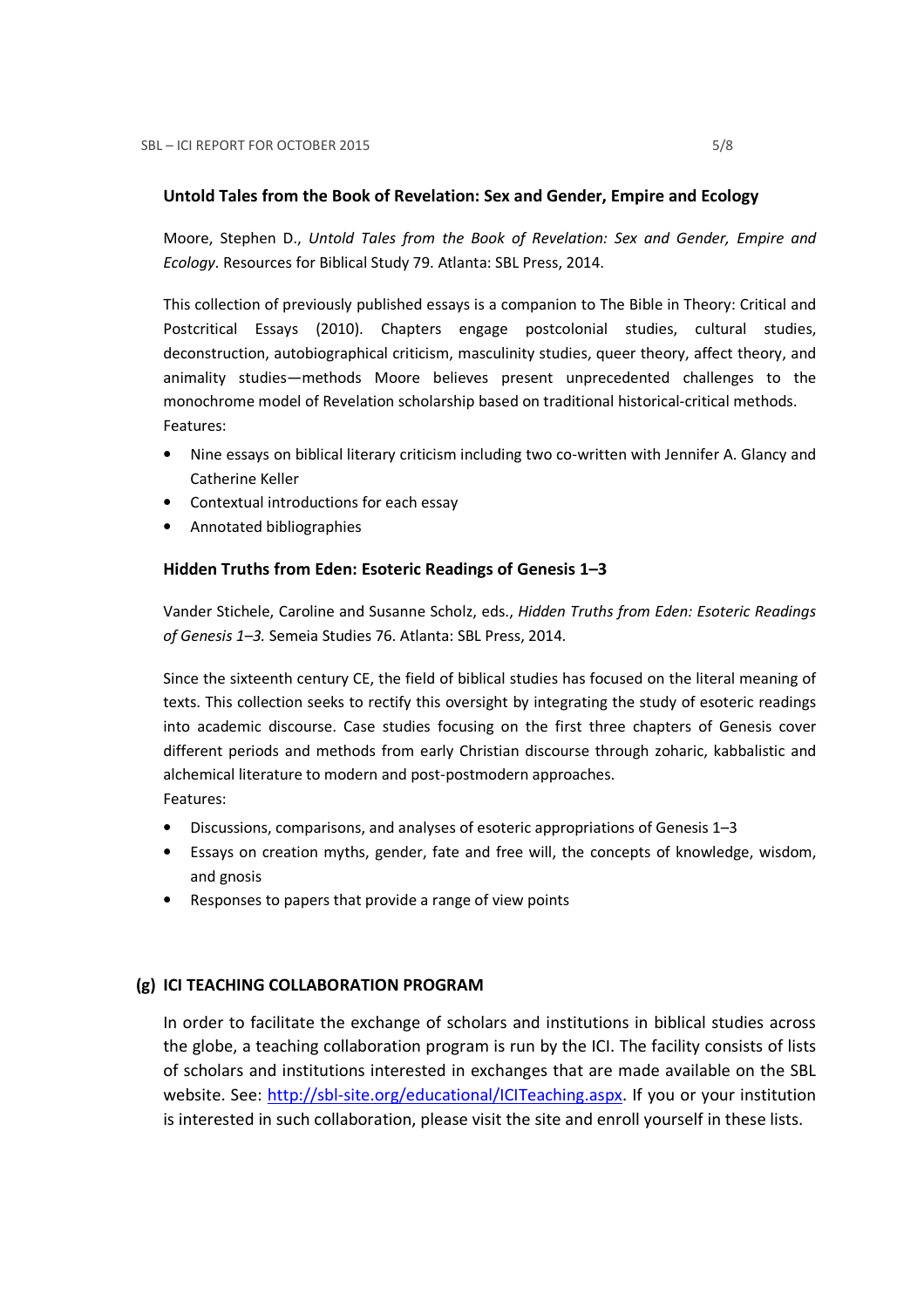### Untold Tales from the Book of Revelation: Sex and Gender, Empire and Ecology

Moore, Stephen D., Untold Tales from the Book of Revelation: Sex and Gender, Empire and Ecology. Resources for Biblical Study 79. Atlanta: SBL Press, 2014.

This collection of previously published essays is a companion to The Bible in Theory: Critical and Postcritical Essays (2010). Chapters engage postcolonial studies, cultural studies, deconstruction, autobiographical criticism, masculinity studies, queer theory, affect theory, and animality studies—methods Moore believes present unprecedented challenges to the monochrome model of Revelation scholarship based on traditional historical-critical methods. Features:

- Nine essays on biblical literary criticism including two co-written with Jennifer A. Glancy and Catherine Keller
- Contextual introductions for each essay
- Annotated bibliographies

## Hidden Truths from Eden: Esoteric Readings of Genesis 1–3

Vander Stichele, Caroline and Susanne Scholz, eds., Hidden Truths from Eden: Esoteric Readings of Genesis 1–3. Semeia Studies 76. Atlanta: SBL Press, 2014.

Since the sixteenth century CE, the field of biblical studies has focused on the literal meaning of texts. This collection seeks to rectify this oversight by integrating the study of esoteric readings into academic discourse. Case studies focusing on the first three chapters of Genesis cover different periods and methods from early Christian discourse through zoharic, kabbalistic and alchemical literature to modern and post-postmodern approaches.

Features:

- Discussions, comparisons, and analyses of esoteric appropriations of Genesis 1–3
- Essays on creation myths, gender, fate and free will, the concepts of knowledge, wisdom, and gnosis
- Responses to papers that provide a range of view points

## (g) ICI TEACHING COLLABORATION PROGRAM

In order to facilitate the exchange of scholars and institutions in biblical studies across the globe, a teaching collaboration program is run by the ICI. The facility consists of lists of scholars and institutions interested in exchanges that are made available on the SBL website. See: http://sbl-site.org/educational/ICITeaching.aspx. If you or your institution is interested in such collaboration, please visit the site and enroll yourself in these lists.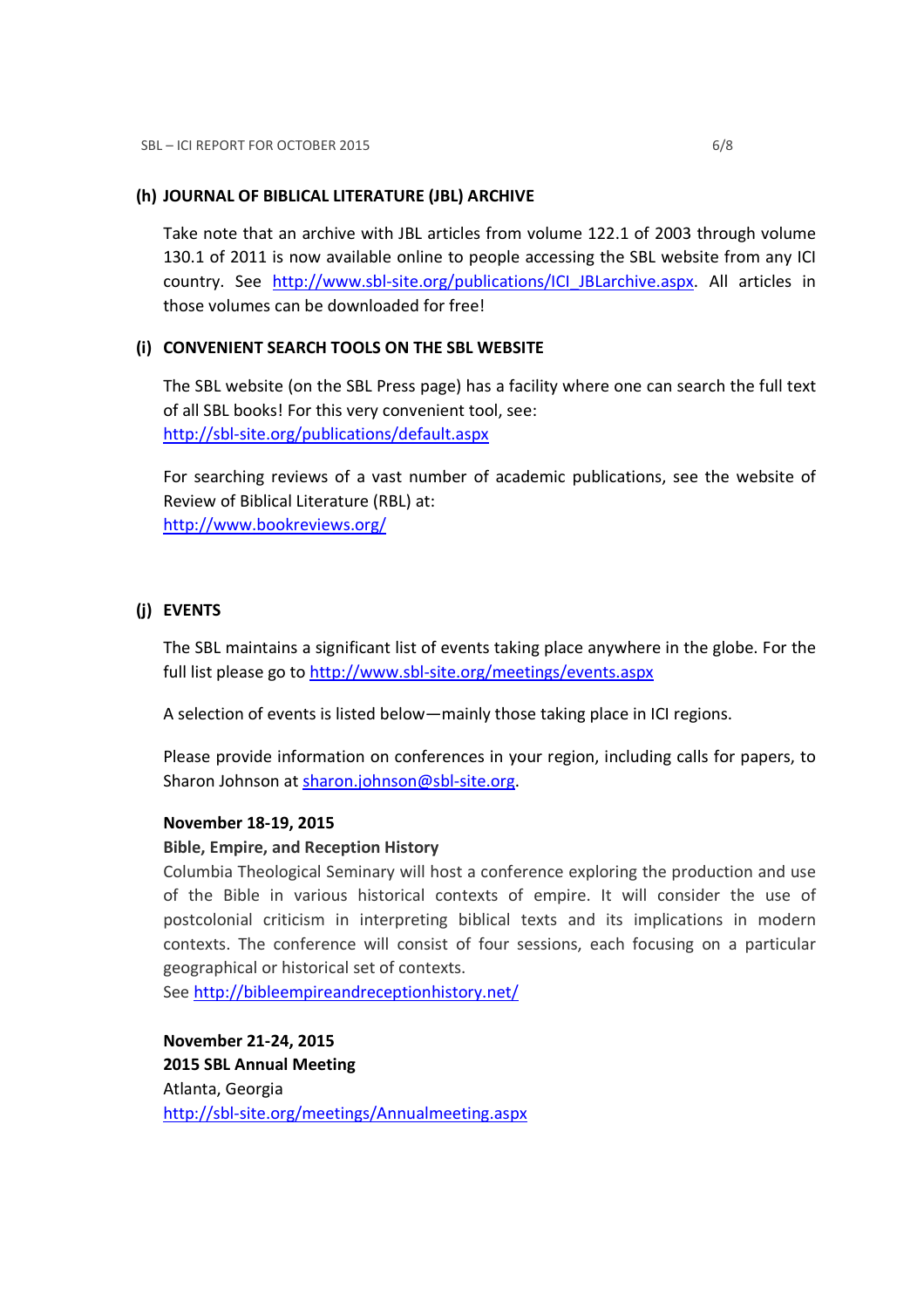### (h) JOURNAL OF BIBLICAL LITERATURE (JBL) ARCHIVE

Take note that an archive with JBL articles from volume 122.1 of 2003 through volume 130.1 of 2011 is now available online to people accessing the SBL website from any ICI country. See http://www.sbl-site.org/publications/ICI\_JBLarchive.aspx. All articles in those volumes can be downloaded for free!

## (i) CONVENIENT SEARCH TOOLS ON THE SBL WEBSITE

The SBL website (on the SBL Press page) has a facility where one can search the full text of all SBL books! For this very convenient tool, see: http://sbl-site.org/publications/default.aspx

For searching reviews of a vast number of academic publications, see the website of Review of Biblical Literature (RBL) at: http://www.bookreviews.org/

## (j) EVENTS

The SBL maintains a significant list of events taking place anywhere in the globe. For the full list please go to http://www.sbl-site.org/meetings/events.aspx

A selection of events is listed below—mainly those taking place in ICI regions.

Please provide information on conferences in your region, including calls for papers, to Sharon Johnson at sharon.johnson@sbl-site.org.

## November 18-19, 2015

## Bible, Empire, and Reception History

Columbia Theological Seminary will host a conference exploring the production and use of the Bible in various historical contexts of empire. It will consider the use of postcolonial criticism in interpreting biblical texts and its implications in modern contexts. The conference will consist of four sessions, each focusing on a particular geographical or historical set of contexts.

See http://bibleempireandreceptionhistory.net/

November 21-24, 2015 2015 SBL Annual Meeting Atlanta, Georgia http://sbl-site.org/meetings/Annualmeeting.aspx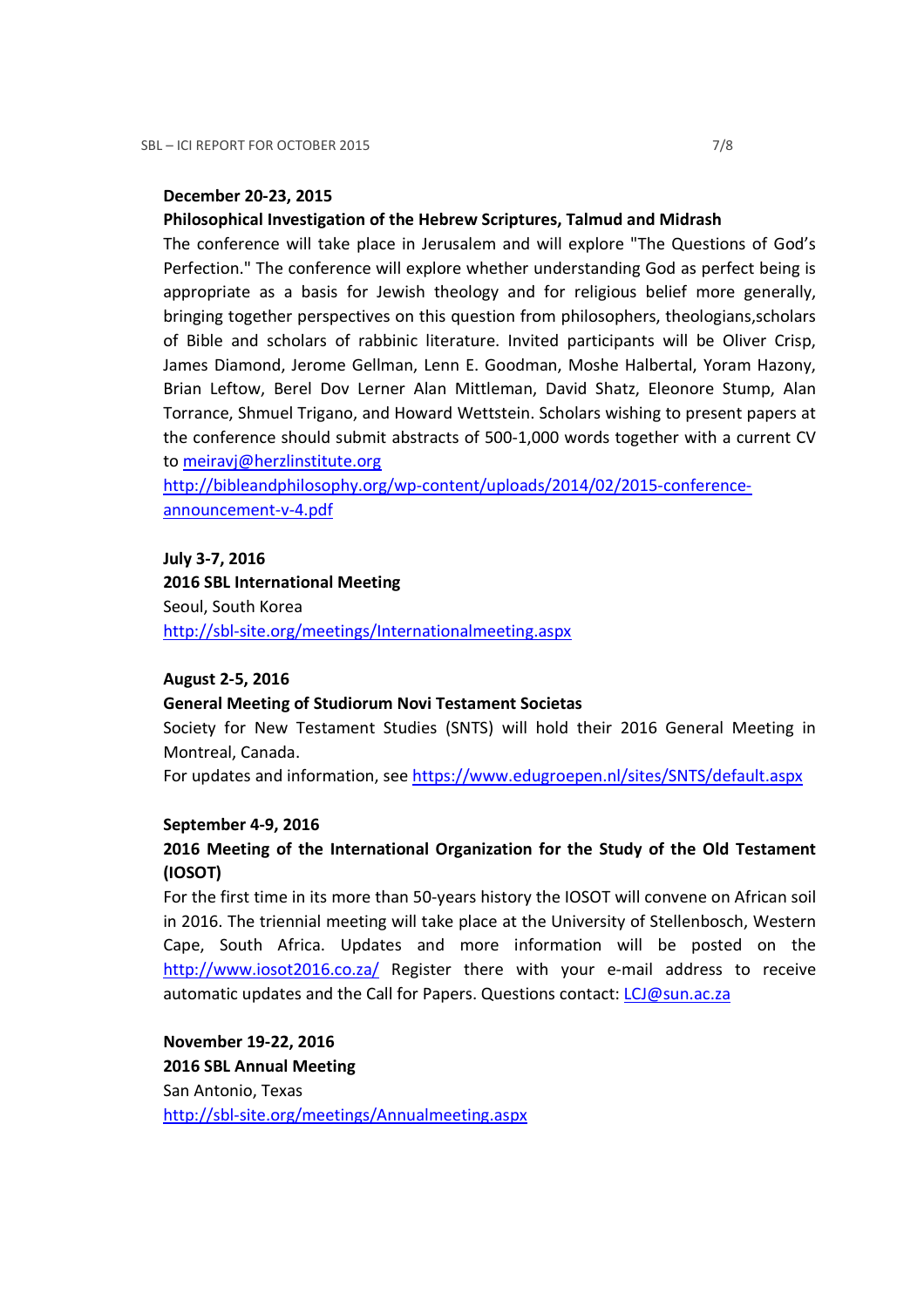## December 20-23, 2015

## Philosophical Investigation of the Hebrew Scriptures, Talmud and Midrash

The conference will take place in Jerusalem and will explore "The Questions of God's Perfection." The conference will explore whether understanding God as perfect being is appropriate as a basis for Jewish theology and for religious belief more generally, bringing together perspectives on this question from philosophers, theologians,scholars of Bible and scholars of rabbinic literature. Invited participants will be Oliver Crisp, James Diamond, Jerome Gellman, Lenn E. Goodman, Moshe Halbertal, Yoram Hazony, Brian Leftow, Berel Dov Lerner Alan Mittleman, David Shatz, Eleonore Stump, Alan Torrance, Shmuel Trigano, and Howard Wettstein. Scholars wishing to present papers at the conference should submit abstracts of 500-1,000 words together with a current CV to meiravj@herzlinstitute.org

http://bibleandphilosophy.org/wp-content/uploads/2014/02/2015-conferenceannouncement-v-4.pdf

#### July 3-7, 2016

2016 SBL International Meeting Seoul, South Korea http://sbl-site.org/meetings/Internationalmeeting.aspx

#### August 2-5, 2016

### General Meeting of Studiorum Novi Testament Societas

Society for New Testament Studies (SNTS) will hold their 2016 General Meeting in Montreal, Canada.

For updates and information, see https://www.edugroepen.nl/sites/SNTS/default.aspx

#### September 4-9, 2016

## 2016 Meeting of the International Organization for the Study of the Old Testament (IOSOT)

For the first time in its more than 50-years history the IOSOT will convene on African soil in 2016. The triennial meeting will take place at the University of Stellenbosch, Western Cape, South Africa. Updates and more information will be posted on the http://www.iosot2016.co.za/ Register there with your e-mail address to receive automatic updates and the Call for Papers. Questions contact: LCJ@sun.ac.za

November 19-22, 2016 2016 SBL Annual Meeting San Antonio, Texas http://sbl-site.org/meetings/Annualmeeting.aspx